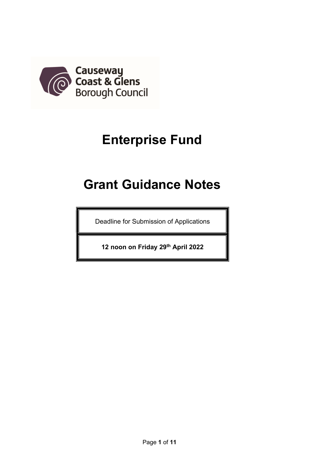

# Enterprise Fund

# Grant Guidance Notes

Deadline for Submission of Applications

12 noon on Friday 29th April 2022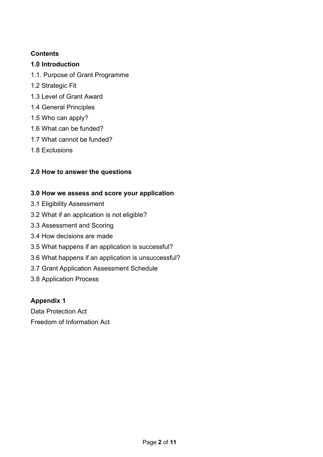# **Contents**

# 1.0 Introduction

- 1.1. Purpose of Grant Programme
- 1.2 Strategic Fit
- 1.3 Level of Grant Award
- 1.4 General Principles
- 1.5 Who can apply?
- 1.6 What can be funded?
- 1.7 What cannot be funded?
- 1.8 Exclusions

# 2.0 How to answer the questions

# 3.0 How we assess and score your application

- 3.1 Eligibility Assessment
- 3.2 What if an application is not eligible?
- 3.3 Assessment and Scoring
- 3.4 How decisions are made
- 3.5 What happens if an application is successful?
- 3.6 What happens if an application is unsuccessful?
- 3.7 Grant Application Assessment Schedule
- 3.8 Application Process

# Appendix 1

Data Protection Act Freedom of Information Act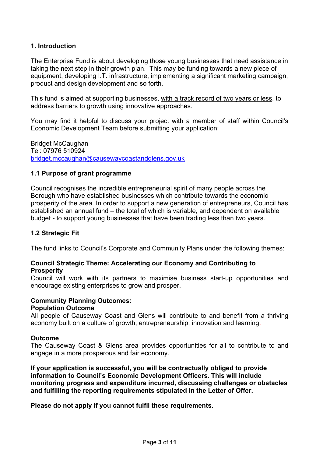#### 1. Introduction

The Enterprise Fund is about developing those young businesses that need assistance in taking the next step in their growth plan. This may be funding towards a new piece of equipment, developing I.T. infrastructure, implementing a significant marketing campaign, product and design development and so forth.

This fund is aimed at supporting businesses, with a track record of two years or less, to address barriers to growth using innovative approaches.

You may find it helpful to discuss your project with a member of staff within Council's Economic Development Team before submitting your application:

Bridget McCaughan Tel: 07976 510924 bridget.mccaughan@causewaycoastandglens.gov.uk

#### 1.1 Purpose of grant programme

Council recognises the incredible entrepreneurial spirit of many people across the Borough who have established businesses which contribute towards the economic prosperity of the area. In order to support a new generation of entrepreneurs, Council has established an annual fund – the total of which is variable, and dependent on available budget - to support young businesses that have been trading less than two years.

#### 1.2 Strategic Fit

The fund links to Council's Corporate and Community Plans under the following themes:

#### Council Strategic Theme: Accelerating our Economy and Contributing to **Prosperity**

Council will work with its partners to maximise business start-up opportunities and encourage existing enterprises to grow and prosper.

#### Community Planning Outcomes:

#### Population Outcome

All people of Causeway Coast and Glens will contribute to and benefit from a thriving economy built on a culture of growth, entrepreneurship, innovation and learning.

#### **Outcome**

The Causeway Coast & Glens area provides opportunities for all to contribute to and engage in a more prosperous and fair economy.

If your application is successful, you will be contractually obliged to provide information to Council's Economic Development Officers. This will include monitoring progress and expenditure incurred, discussing challenges or obstacles and fulfilling the reporting requirements stipulated in the Letter of Offer.

Please do not apply if you cannot fulfil these requirements.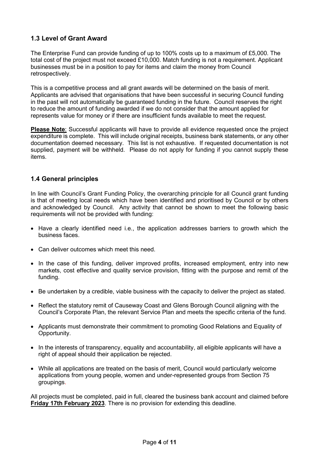# 1.3 Level of Grant Award

The Enterprise Fund can provide funding of up to 100% costs up to a maximum of £5,000. The total cost of the project must not exceed £10,000. Match funding is not a requirement. Applicant businesses must be in a position to pay for items and claim the money from Council retrospectively.

This is a competitive process and all grant awards will be determined on the basis of merit. Applicants are advised that organisations that have been successful in securing Council funding in the past will not automatically be guaranteed funding in the future. Council reserves the right to reduce the amount of funding awarded if we do not consider that the amount applied for represents value for money or if there are insufficient funds available to meet the request.

Please Note: Successful applicants will have to provide all evidence requested once the project expenditure is complete. This will include original receipts, business bank statements, or any other documentation deemed necessary. This list is not exhaustive. If requested documentation is not supplied, payment will be withheld. Please do not apply for funding if you cannot supply these items.

#### 1.4 General principles

In line with Council's Grant Funding Policy, the overarching principle for all Council grant funding is that of meeting local needs which have been identified and prioritised by Council or by others and acknowledged by Council. Any activity that cannot be shown to meet the following basic requirements will not be provided with funding:

- Have a clearly identified need i.e., the application addresses barriers to growth which the business faces.
- Can deliver outcomes which meet this need.
- In the case of this funding, deliver improved profits, increased employment, entry into new markets, cost effective and quality service provision, fitting with the purpose and remit of the funding.
- Be undertaken by a credible, viable business with the capacity to deliver the project as stated.
- Reflect the statutory remit of Causeway Coast and Glens Borough Council aligning with the Council's Corporate Plan, the relevant Service Plan and meets the specific criteria of the fund.
- Applicants must demonstrate their commitment to promoting Good Relations and Equality of Opportunity.
- In the interests of transparency, equality and accountability, all eligible applicants will have a right of appeal should their application be rejected.
- While all applications are treated on the basis of merit, Council would particularly welcome applications from young people, women and under-represented groups from Section 75 groupings.

All projects must be completed, paid in full, cleared the business bank account and claimed before Friday 17th February 2023. There is no provision for extending this deadline.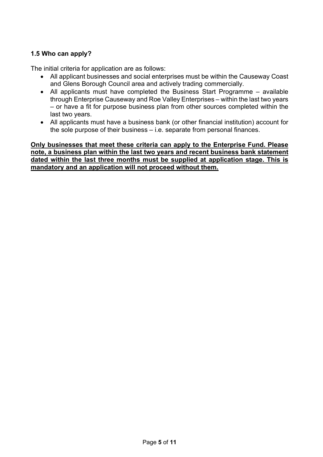# 1.5 Who can apply?

The initial criteria for application are as follows:

- All applicant businesses and social enterprises must be within the Causeway Coast and Glens Borough Council area and actively trading commercially.
- All applicants must have completed the Business Start Programme available through Enterprise Causeway and Roe Valley Enterprises – within the last two years – or have a fit for purpose business plan from other sources completed within the last two years.
- All applicants must have a business bank (or other financial institution) account for the sole purpose of their business – i.e. separate from personal finances.

Only businesses that meet these criteria can apply to the Enterprise Fund. Please note, a business plan within the last two years and recent business bank statement dated within the last three months must be supplied at application stage. This is mandatory and an application will not proceed without them.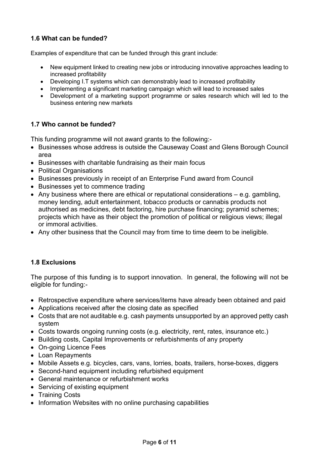# 1.6 What can be funded?

Examples of expenditure that can be funded through this grant include:

- New equipment linked to creating new jobs or introducing innovative approaches leading to increased profitability
- Developing I.T systems which can demonstrably lead to increased profitability
- Implementing a significant marketing campaign which will lead to increased sales
- Development of a marketing support programme or sales research which will led to the business entering new markets

#### 1.7 Who cannot be funded?

This funding programme will not award grants to the following:-

- Businesses whose address is outside the Causeway Coast and Glens Borough Council area
- Businesses with charitable fundraising as their main focus
- Political Organisations
- Businesses previously in receipt of an Enterprise Fund award from Council
- Businesses yet to commence trading
- Any business where there are ethical or reputational considerations e.g. gambling, money lending, adult entertainment, tobacco products or cannabis products not authorised as medicines, debt factoring, hire purchase financing; pyramid schemes; projects which have as their object the promotion of political or religious views; illegal or immoral activities.
- Any other business that the Council may from time to time deem to be ineligible.

#### 1.8 Exclusions

The purpose of this funding is to support innovation. In general, the following will not be eligible for funding:-

- Retrospective expenditure where services/items have already been obtained and paid
- Applications received after the closing date as specified
- Costs that are not auditable e.g. cash payments unsupported by an approved petty cash system
- Costs towards ongoing running costs (e.g. electricity, rent, rates, insurance etc.)
- Building costs, Capital Improvements or refurbishments of any property
- On-going Licence Fees
- Loan Repayments
- Mobile Assets e.g. bicycles, cars, vans, lorries, boats, trailers, horse-boxes, diggers
- Second-hand equipment including refurbished equipment
- General maintenance or refurbishment works
- Servicing of existing equipment
- Training Costs
- Information Websites with no online purchasing capabilities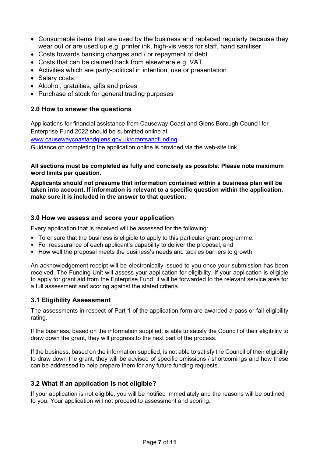- Consumable items that are used by the business and replaced regularly because they wear out or are used up e.g. printer ink, high-vis vests for staff, hand sanitiser
- Costs towards banking charges and / or repayment of debt
- Costs that can be claimed back from elsewhere e.g. VAT.
- Activities which are party-political in intention, use or presentation
- Salary costs
- Alcohol, gratuities, gifts and prizes
- Purchase of stock for general trading purposes

#### 2.0 How to answer the questions

Applications for financial assistance from Causeway Coast and Glens Borough Council for Enterprise Fund 2022 should be submitted online at

www.causewaycoastandglens.gov.uk/grantsandfunding

Guidance on completing the application online is provided via the web-site link.

#### All sections must be completed as fully and concisely as possible. Please note maximum word limits per question.

Applicants should not presume that information contained within a business plan will be taken into account. If information is relevant to a specific question within the application, make sure it is included in the answer to that question.

#### 3.0 How we assess and score your application

Every application that is received will be assessed for the following:

- To ensure that the business is eligible to apply to this particular grant programme.
- For reassurance of each applicant's capability to deliver the proposal, and
- How well the proposal meets the business's needs and tackles barriers to growth

An acknowledgement receipt will be electronically issued to you once your submission has been received. The Funding Unit will assess your application for eligibility. If your application is eligible to apply for grant aid from the Enterprise Fund, it will be forwarded to the relevant service area for a full assessment and scoring against the stated criteria.

#### 3.1 Eligibility Assessment

The assessments in respect of Part 1 of the application form are awarded a pass or fail eligibility rating.

If the business, based on the information supplied, is able to satisfy the Council of their eligibility to draw down the grant, they will progress to the next part of the process.

If the business, based on the information supplied, is not able to satisfy the Council of their eligibility to draw down the grant, they will be advised of specific omissions / shortcomings and how these can be addressed to help prepare them for any future funding requests.

#### 3.2 What if an application is not eligible?

If your application is not eligible, you will be notified immediately and the reasons will be outlined to you. Your application will not proceed to assessment and scoring.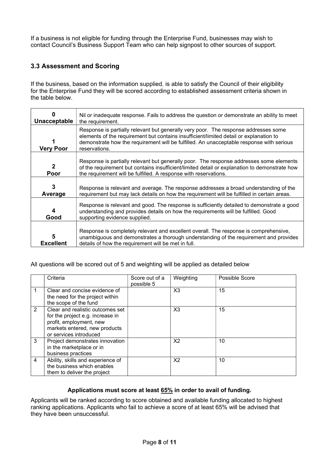If a business is not eligible for funding through the Enterprise Fund, businesses may wish to contact Council's Business Support Team who can help signpost to other sources of support.

### 3.3 Assessment and Scoring

If the business, based on the information supplied, is able to satisfy the Council of their eligibility for the Enterprise Fund they will be scored according to established assessment criteria shown in the table below.

| n<br>Unacceptable      | Nil or inadequate response. Fails to address the question or demonstrate an ability to meet<br>the requirement.                                                                                                                                                                            |  |  |
|------------------------|--------------------------------------------------------------------------------------------------------------------------------------------------------------------------------------------------------------------------------------------------------------------------------------------|--|--|
| Very Poor              | Response is partially relevant but generally very poor. The response addresses some<br>elements of the requirement but contains insufficient/limited detail or explanation to<br>demonstrate how the requirement will be fulfilled. An unacceptable response with serious<br>reservations. |  |  |
| $\overline{2}$<br>Poor | Response is partially relevant but generally poor. The response addresses some elements<br>of the requirement but contains insufficient/limited detail or explanation to demonstrate how<br>the requirement will be fulfilled. A response with reservations.                               |  |  |
| 3<br>Average           | Response is relevant and average. The response addresses a broad understanding of the<br>requirement but may lack details on how the requirement will be fulfilled in certain areas.                                                                                                       |  |  |
| 4<br>Good              | Response is relevant and good. The response is sufficiently detailed to demonstrate a good<br>understanding and provides details on how the requirements will be fulfilled. Good<br>supporting evidence supplied.                                                                          |  |  |
| 5<br><b>Excellent</b>  | Response is completely relevant and excellent overall. The response is comprehensive,<br>unambiguous and demonstrates a thorough understanding of the requirement and provides<br>details of how the requirement will be met in full.                                                      |  |  |

All questions will be scored out of 5 and weighting will be applied as detailed below

|              | Criteria                                                                                                                                                   | Score out of a<br>possible 5 | Weighting      | Possible Score |
|--------------|------------------------------------------------------------------------------------------------------------------------------------------------------------|------------------------------|----------------|----------------|
|              | Clear and concise evidence of<br>the need for the project within<br>the scope of the fund                                                                  |                              | X <sub>3</sub> | 15             |
| 2            | Clear and realistic outcomes set<br>for the project e.g. increase in<br>profit, employment, new<br>markets entered, new products<br>or services introduced |                              | X <sub>3</sub> | 15             |
| $\mathbf{3}$ | Project demonstrates innovation<br>in the marketplace or in<br>business practices                                                                          |                              | X <sub>2</sub> | 10             |
| 4            | Ability, skills and experience of<br>the business which enables<br>them to deliver the project                                                             |                              | X <sub>2</sub> | 10             |

#### Applications must score at least 65% in order to avail of funding.

Applicants will be ranked according to score obtained and available funding allocated to highest ranking applications. Applicants who fail to achieve a score of at least 65% will be advised that they have been unsuccessful.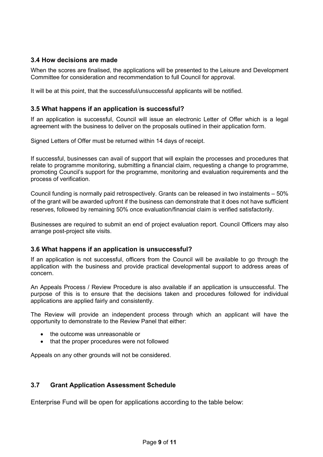#### 3.4 How decisions are made

When the scores are finalised, the applications will be presented to the Leisure and Development Committee for consideration and recommendation to full Council for approval.

It will be at this point, that the successful/unsuccessful applicants will be notified.

#### 3.5 What happens if an application is successful?

If an application is successful, Council will issue an electronic Letter of Offer which is a legal agreement with the business to deliver on the proposals outlined in their application form.

Signed Letters of Offer must be returned within 14 days of receipt.

If successful, businesses can avail of support that will explain the processes and procedures that relate to programme monitoring, submitting a financial claim, requesting a change to programme, promoting Council's support for the programme, monitoring and evaluation requirements and the process of verification.

Council funding is normally paid retrospectively. Grants can be released in two instalments – 50% of the grant will be awarded upfront if the business can demonstrate that it does not have sufficient reserves, followed by remaining 50% once evaluation/financial claim is verified satisfactorily.

Businesses are required to submit an end of project evaluation report. Council Officers may also arrange post-project site visits.

#### 3.6 What happens if an application is unsuccessful?

If an application is not successful, officers from the Council will be available to go through the application with the business and provide practical developmental support to address areas of concern.

An Appeals Process / Review Procedure is also available if an application is unsuccessful. The purpose of this is to ensure that the decisions taken and procedures followed for individual applications are applied fairly and consistently.

The Review will provide an independent process through which an applicant will have the opportunity to demonstrate to the Review Panel that either:

- the outcome was unreasonable or
- that the proper procedures were not followed

Appeals on any other grounds will not be considered.

#### 3.7 Grant Application Assessment Schedule

Enterprise Fund will be open for applications according to the table below: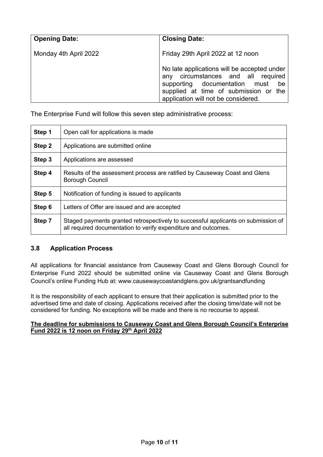| <b>Opening Date:</b>  | <b>Closing Date:</b>                                                                                                                                                                                  |  |  |
|-----------------------|-------------------------------------------------------------------------------------------------------------------------------------------------------------------------------------------------------|--|--|
| Monday 4th April 2022 | Friday 29th April 2022 at 12 noon                                                                                                                                                                     |  |  |
|                       | No late applications will be accepted under<br>any circumstances and all required<br>supporting documentation must be<br>supplied at time of submission or the<br>application will not be considered. |  |  |

The Enterprise Fund will follow this seven step administrative process:

| Step 1 | Open call for applications is made                                                                                                                  |  |
|--------|-----------------------------------------------------------------------------------------------------------------------------------------------------|--|
| Step 2 | Applications are submitted online                                                                                                                   |  |
| Step 3 | Applications are assessed                                                                                                                           |  |
| Step 4 | Results of the assessment process are ratified by Causeway Coast and Glens<br><b>Borough Council</b>                                                |  |
| Step 5 | Notification of funding is issued to applicants                                                                                                     |  |
| Step 6 | Letters of Offer are issued and are accepted                                                                                                        |  |
| Step 7 | Staged payments granted retrospectively to successful applicants on submission of<br>all required documentation to verify expenditure and outcomes. |  |

#### 3.8 Application Process

All applications for financial assistance from Causeway Coast and Glens Borough Council for Enterprise Fund 2022 should be submitted online via Causeway Coast and Glens Borough Council's online Funding Hub at: www.causewaycoastandglens.gov.uk/grantsandfunding

It is the responsibility of each applicant to ensure that their application is submitted prior to the advertised time and date of closing. Applications received after the closing time/date will not be considered for funding. No exceptions will be made and there is no recourse to appeal.

#### The deadline for submissions to Causeway Coast and Glens Borough Council's Enterprise Fund 2022 is 12 noon on Friday 29th April 2022